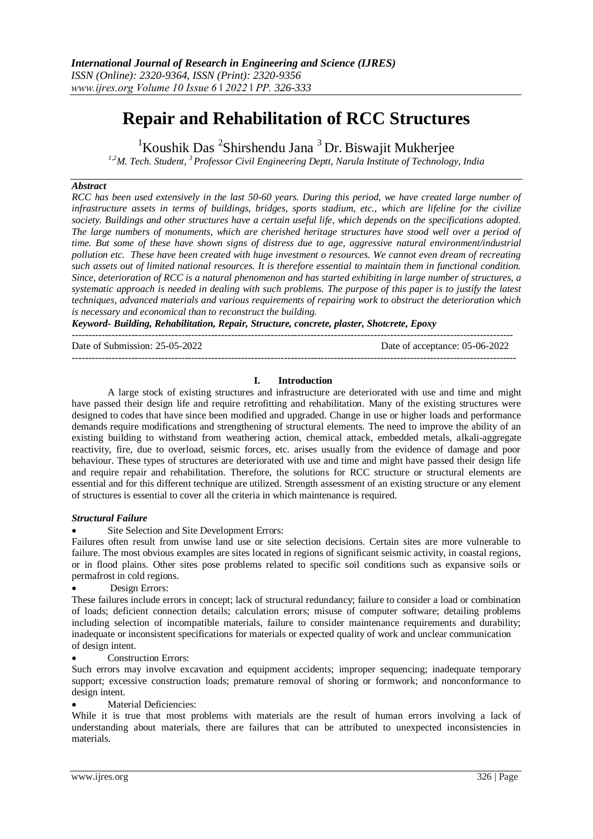# **Repair and Rehabilitation of RCC Structures**

 ${}^{1}$ Koushik Das  ${}^{2}$ Shirshendu Jana  ${}^{3}$ Dr. Biswajit Mukherjee

*1,2M. Tech. Student, <sup>3</sup> Professor Civil Engineering Deptt, Narula Institute of Technology, India*

# *Abstract*

*RCC has been used extensively in the last 50-60 years. During this period, we have created large number of infrastructure assets in terms of buildings, bridges, sports stadium, etc., which are lifeline for the civilize society. Buildings and other structures have a certain useful life, which depends on the specifications adopted. The large numbers of monuments, which are cherished heritage structures have stood well over a period of time. But some of these have shown signs of distress due to age, aggressive natural environment/industrial pollution etc. These have been created with huge investment o resources. We cannot even dream of recreating such assets out of limited national resources. It is therefore essential to maintain them in functional condition. Since, deterioration of RCC is a natural phenomenon and has started exhibiting in large number of structures, a systematic approach is needed in dealing with such problems. The purpose of this paper is to justify the latest techniques, advanced materials and various requirements of repairing work to obstruct the deterioration which is necessary and economical than to reconstruct the building.*

*Keyword- Building, Rehabilitation, Repair, Structure, concrete, plaster, Shotcrete, Epoxy*

-------------------------------------------------------------------------------------------------------------------------------------

Date of Submission: 25-05-2022 Date of acceptance: 05-06-2022

--------------------------------------------------------------------------------------------------------------------------------------

# **I. Introduction**

A large stock of existing structures and infrastructure are deteriorated with use and time and might have passed their design life and require retrofitting and rehabilitation. Many of the existing structures were designed to codes that have since been modified and upgraded. Change in use or higher loads and performance demands require modifications and strengthening of structural elements. The need to improve the ability of an existing building to withstand from weathering action, chemical attack, embedded metals, alkali-aggregate reactivity, fire, due to overload, seismic forces, etc. arises usually from the evidence of damage and poor behaviour. These types of structures are deteriorated with use and time and might have passed their design life and require repair and rehabilitation. Therefore, the solutions for RCC structure or structural elements are essential and for this different technique are utilized. Strength assessment of an existing structure or any element of structures is essential to cover all the criteria in which maintenance is required.

#### *Structural Failure*

Site Selection and Site Development Errors:

Failures often result from unwise land use or site selection decisions. Certain sites are more vulnerable to failure. The most obvious examples are sites located in regions of significant seismic activity, in coastal regions, or in flood plains. Other sites pose problems related to specific soil conditions such as expansive soils or permafrost in cold regions.

Design Errors:

These failures include errors in concept; lack of structural redundancy; failure to consider a load or combination of loads; deficient connection details; calculation errors; misuse of computer software; detailing problems including selection of incompatible materials, failure to consider maintenance requirements and durability; inadequate or inconsistent specifications for materials or expected quality of work and unclear communication of design intent.

Construction Errors:

Such errors may involve excavation and equipment accidents; improper sequencing; inadequate temporary support; excessive construction loads; premature removal of shoring or formwork; and nonconformance to design intent.

Material Deficiencies:

While it is true that most problems with materials are the result of human errors involving a lack of understanding about materials, there are failures that can be attributed to unexpected inconsistencies in materials.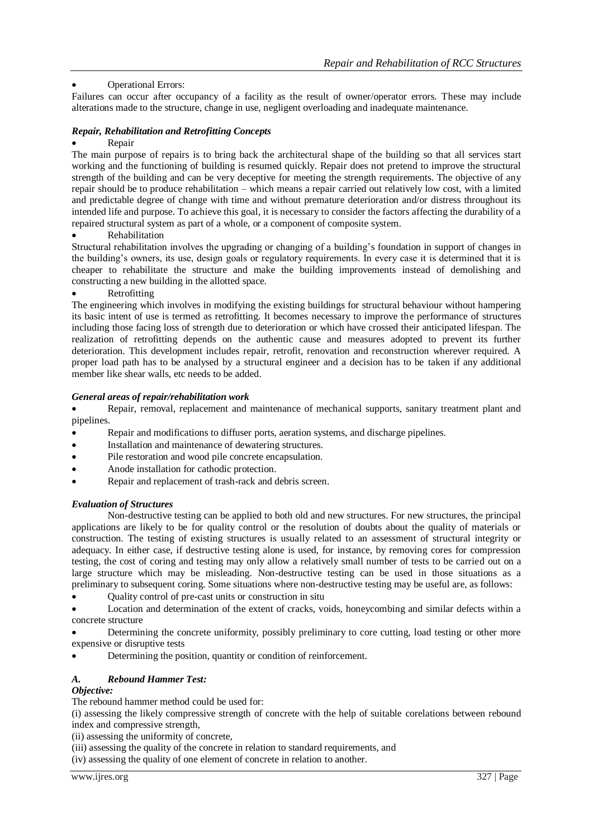# Operational Errors:

Failures can occur after occupancy of a facility as the result of owner/operator errors. These may include alterations made to the structure, change in use, negligent overloading and inadequate maintenance.

# *Repair, Rehabilitation and Retrofitting Concepts*

# Repair

The main purpose of repairs is to bring back the architectural shape of the building so that all services start working and the functioning of building is resumed quickly. Repair does not pretend to improve the structural strength of the building and can be very deceptive for meeting the strength requirements. The objective of any repair should be to produce rehabilitation – which means a repair carried out relatively low cost, with a limited and predictable degree of change with time and without premature deterioration and/or distress throughout its intended life and purpose. To achieve this goal, it is necessary to consider the factors affecting the durability of a repaired structural system as part of a whole, or a component of composite system.

# Rehabilitation

Structural rehabilitation involves the upgrading or changing of a building's foundation in support of changes in the building's owners, its use, design goals or regulatory requirements. In every case it is determined that it is cheaper to rehabilitate the structure and make the building improvements instead of demolishing and constructing a new building in the allotted space.

# Retrofitting

The engineering which involves in modifying the existing buildings for structural behaviour without hampering its basic intent of use is termed as retrofitting. It becomes necessary to improve the performance of structures including those facing loss of strength due to deterioration or which have crossed their anticipated lifespan. The realization of retrofitting depends on the authentic cause and measures adopted to prevent its further deterioration. This development includes repair, retrofit, renovation and reconstruction wherever required. A proper load path has to be analysed by a structural engineer and a decision has to be taken if any additional member like shear walls, etc needs to be added.

# *General areas of repair/rehabilitation work*

 Repair, removal, replacement and maintenance of mechanical supports, sanitary treatment plant and pipelines.

- Repair and modifications to diffuser ports, aeration systems, and discharge pipelines.
- Installation and maintenance of dewatering structures.
- Pile restoration and wood pile concrete encapsulation.
- Anode installation for cathodic protection.
- Repair and replacement of trash-rack and debris screen.

#### *Evaluation of Structures*

Non-destructive testing can be applied to both old and new structures. For new structures, the principal applications are likely to be for quality control or the resolution of doubts about the quality of materials or construction. The testing of existing structures is usually related to an assessment of structural integrity or adequacy. In either case, if destructive testing alone is used, for instance, by removing cores for compression testing, the cost of coring and testing may only allow a relatively small number of tests to be carried out on a large structure which may be misleading. Non-destructive testing can be used in those situations as a preliminary to subsequent coring. Some situations where non-destructive testing may be useful are, as follows:

Quality control of pre-cast units or construction in situ

 Location and determination of the extent of cracks, voids, honeycombing and similar defects within a concrete structure

 Determining the concrete uniformity, possibly preliminary to core cutting, load testing or other more expensive or disruptive tests

Determining the position, quantity or condition of reinforcement.

# *A. Rebound Hammer Test:*

### *Objective:*

The rebound hammer method could be used for:

(i) assessing the likely compressive strength of concrete with the help of suitable corelations between rebound index and compressive strength,

(ii) assessing the uniformity of concrete,

(iii) assessing the quality of the concrete in relation to standard requirements, and

(iv) assessing the quality of one element of concrete in relation to another.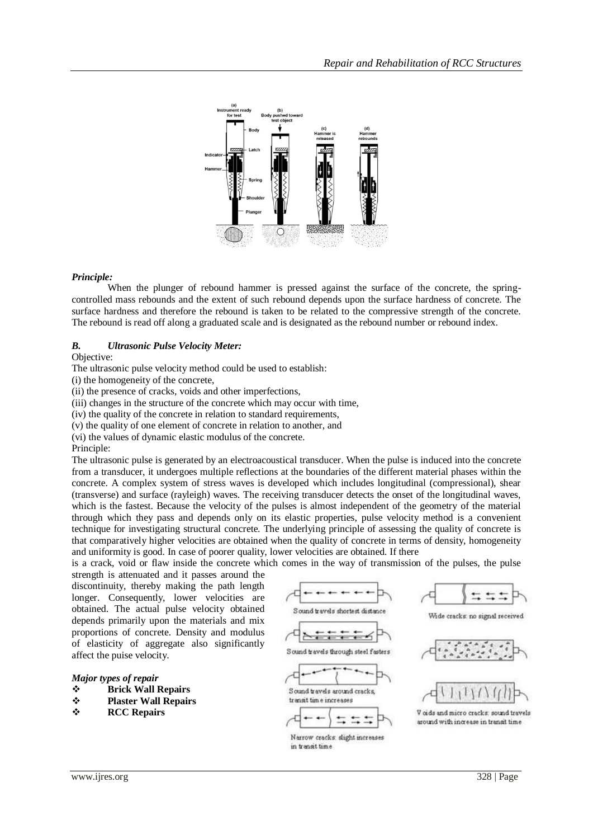

#### *Principle:*

When the plunger of rebound hammer is pressed against the surface of the concrete, the springcontrolled mass rebounds and the extent of such rebound depends upon the surface hardness of concrete. The surface hardness and therefore the rebound is taken to be related to the compressive strength of the concrete. The rebound is read off along a graduated scale and is designated as the rebound number or rebound index.

#### *B. Ultrasonic Pulse Velocity Meter:*

Objective:

The ultrasonic pulse velocity method could be used to establish:

(i) the homogeneity of the concrete,

(ii) the presence of cracks, voids and other imperfections,

(iii) changes in the structure of the concrete which may occur with time,

(iv) the quality of the concrete in relation to standard requirements,

(v) the quality of one element of concrete in relation to another, and

(vi) the values of dynamic elastic modulus of the concrete.

Principle:

The ultrasonic pulse is generated by an electroacoustical transducer. When the pulse is induced into the concrete from a transducer, it undergoes multiple reflections at the boundaries of the different material phases within the concrete. A complex system of stress waves is developed which includes longitudinal (compressional), shear (transverse) and surface (rayleigh) waves. The receiving transducer detects the onset of the longitudinal waves, which is the fastest. Because the velocity of the pulses is almost independent of the geometry of the material through which they pass and depends only on its elastic properties, pulse velocity method is a convenient technique for investigating structural concrete. The underlying principle of assessing the quality of concrete is that comparatively higher velocities are obtained when the quality of concrete in terms of density, homogeneity and uniformity is good. In case of poorer quality, lower velocities are obtained. If there

is a crack, void or flaw inside the concrete which comes in the way of transmission of the pulses, the pulse

strength is attenuated and it passes around the discontinuity, thereby making the path length longer. Consequently, lower velocities are obtained. The actual pulse velocity obtained depends primarily upon the materials and mix proportions of concrete. Density and modulus of elasticity of aggregate also significantly affect the puise velocity.

#### *Major types of repair*

- **Brick Wall Repairs**
- **Plaster Wall Repairs**
- **RCC Repairs**









Narrow cracks: slight increases in transit time









V cids and micro cracks: sound travels around with increase in transit time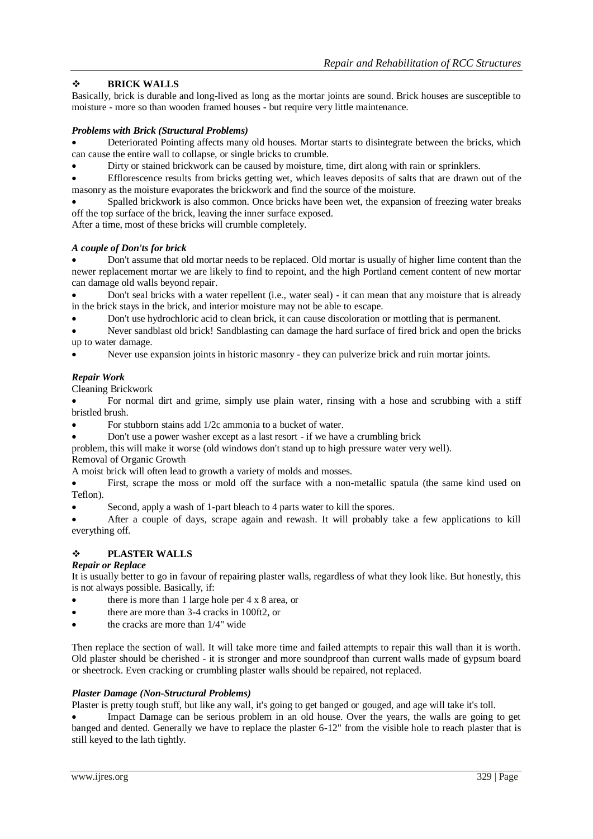# **BRICK WALLS**

Basically, brick is durable and long-lived as long as the mortar joints are sound. Brick houses are susceptible to moisture - more so than wooden framed houses - but require very little maintenance.

# *Problems with Brick (Structural Problems)*

 Deteriorated Pointing affects many old houses. Mortar starts to disintegrate between the bricks, which can cause the entire wall to collapse, or single bricks to crumble.

Dirty or stained brickwork can be caused by moisture, time, dirt along with rain or sprinklers.

 Efflorescence results from bricks getting wet, which leaves deposits of salts that are drawn out of the masonry as the moisture evaporates the brickwork and find the source of the moisture.

 Spalled brickwork is also common. Once bricks have been wet, the expansion of freezing water breaks off the top surface of the brick, leaving the inner surface exposed.

After a time, most of these bricks will crumble completely.

#### *A couple of Don'ts for brick*

 Don't assume that old mortar needs to be replaced. Old mortar is usually of higher lime content than the newer replacement mortar we are likely to find to repoint, and the high Portland cement content of new mortar can damage old walls beyond repair.

 Don't seal bricks with a water repellent (i.e., water seal) - it can mean that any moisture that is already in the brick stays in the brick, and interior moisture may not be able to escape.

Don't use hydrochloric acid to clean brick, it can cause discoloration or mottling that is permanent.

 Never sandblast old brick! Sandblasting can damage the hard surface of fired brick and open the bricks up to water damage.

Never use expansion joints in historic masonry - they can pulverize brick and ruin mortar joints.

# *Repair Work*

Cleaning Brickwork

 For normal dirt and grime, simply use plain water, rinsing with a hose and scrubbing with a stiff bristled brush.

- For stubborn stains add 1/2c ammonia to a bucket of water.
- Don't use a power washer except as a last resort if we have a crumbling brick

problem, this will make it worse (old windows don't stand up to high pressure water very well). Removal of Organic Growth

A moist brick will often lead to growth a variety of molds and mosses.

 First, scrape the moss or mold off the surface with a non-metallic spatula (the same kind used on Teflon).

Second, apply a wash of 1-part bleach to 4 parts water to kill the spores.

 After a couple of days, scrape again and rewash. It will probably take a few applications to kill everything off.

# **PLASTER WALLS**

#### *Repair or Replace*

It is usually better to go in favour of repairing plaster walls, regardless of what they look like. But honestly, this is not always possible. Basically, if:

- there is more than 1 large hole per 4 x 8 area, or
- there are more than 3-4 cracks in 100ft2, or
- the cracks are more than 1/4" wide

Then replace the section of wall. It will take more time and failed attempts to repair this wall than it is worth. Old plaster should be cherished - it is stronger and more soundproof than current walls made of gypsum board or sheetrock. Even cracking or crumbling plaster walls should be repaired, not replaced.

#### *Plaster Damage (Non-Structural Problems)*

Plaster is pretty tough stuff, but like any wall, it's going to get banged or gouged, and age will take it's toll.

 Impact Damage can be serious problem in an old house. Over the years, the walls are going to get banged and dented. Generally we have to replace the plaster 6-12" from the visible hole to reach plaster that is still keyed to the lath tightly.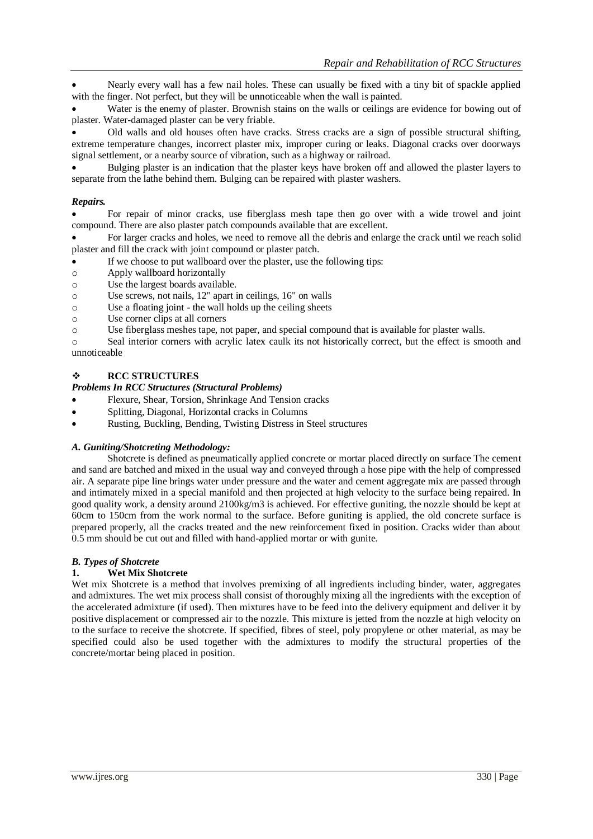Nearly every wall has a few nail holes. These can usually be fixed with a tiny bit of spackle applied with the finger. Not perfect, but they will be unnoticeable when the wall is painted.

 Water is the enemy of plaster. Brownish stains on the walls or ceilings are evidence for bowing out of plaster. Water-damaged plaster can be very friable.

 Old walls and old houses often have cracks. Stress cracks are a sign of possible structural shifting, extreme temperature changes, incorrect plaster mix, improper curing or leaks. Diagonal cracks over doorways signal settlement, or a nearby source of vibration, such as a highway or railroad.

 Bulging plaster is an indication that the plaster keys have broken off and allowed the plaster layers to separate from the lathe behind them. Bulging can be repaired with plaster washers.

# *Repairs.*

 For repair of minor cracks, use fiberglass mesh tape then go over with a wide trowel and joint compound. There are also plaster patch compounds available that are excellent.

 For larger cracks and holes, we need to remove all the debris and enlarge the crack until we reach solid plaster and fill the crack with joint compound or plaster patch.

- If we choose to put wallboard over the plaster, use the following tips:
- o Apply wallboard horizontally
- o Use the largest boards available.
- o Use screws, not nails, 12" apart in ceilings, 16" on walls
- o Use a floating joint the wall holds up the ceiling sheets
- o Use corner clips at all corners
- o Use fiberglass meshes tape, not paper, and special compound that is available for plaster walls.

o Seal interior corners with acrylic latex caulk its not historically correct, but the effect is smooth and unnoticeable

# **RCC STRUCTURES**

# *Problems In RCC Structures (Structural Problems)*

- Flexure, Shear, Torsion, Shrinkage And Tension cracks
- Splitting, Diagonal, Horizontal cracks in Columns
- Rusting, Buckling, Bending, Twisting Distress in Steel structures

#### *A. Guniting/Shotcreting Methodology:*

Shotcrete is defined as pneumatically applied concrete or mortar placed directly on surface The cement and sand are batched and mixed in the usual way and conveyed through a hose pipe with the help of compressed air. A separate pipe line brings water under pressure and the water and cement aggregate mix are passed through and intimately mixed in a special manifold and then projected at high velocity to the surface being repaired. In good quality work, a density around 2100kg/m3 is achieved. For effective guniting, the nozzle should be kept at 60cm to 150cm from the work normal to the surface. Before guniting is applied, the old concrete surface is prepared properly, all the cracks treated and the new reinforcement fixed in position. Cracks wider than about 0.5 mm should be cut out and filled with hand-applied mortar or with gunite.

#### *B. Types of Shotcrete*

#### **1. Wet Mix Shotcrete**

Wet mix Shotcrete is a method that involves premixing of all ingredients including binder, water, aggregates and admixtures. The wet mix process shall consist of thoroughly mixing all the ingredients with the exception of the accelerated admixture (if used). Then mixtures have to be feed into the delivery equipment and deliver it by positive displacement or compressed air to the nozzle. This mixture is jetted from the nozzle at high velocity on to the surface to receive the shotcrete. If specified, fibres of steel, poly propylene or other material, as may be specified could also be used together with the admixtures to modify the structural properties of the concrete/mortar being placed in position.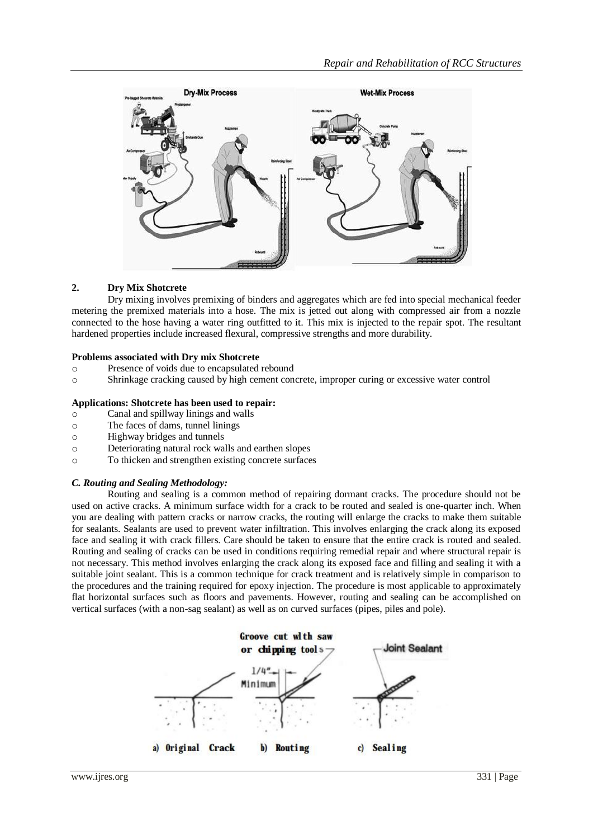

# **2. Dry Mix Shotcrete**

Dry mixing involves premixing of binders and aggregates which are fed into special mechanical feeder metering the premixed materials into a hose. The mix is jetted out along with compressed air from a nozzle connected to the hose having a water ring outfitted to it. This mix is injected to the repair spot. The resultant hardened properties include increased flexural, compressive strengths and more durability.

# **Problems associated with Dry mix Shotcrete**

- o Presence of voids due to encapsulated rebound
- o Shrinkage cracking caused by high cement concrete, improper curing or excessive water control

# **Applications: Shotcrete has been used to repair:**

- o Canal and spillway linings and walls
- o The faces of dams, tunnel linings
- o Highway bridges and tunnels
- o Deteriorating natural rock walls and earthen slopes
- o To thicken and strengthen existing concrete surfaces

#### *C. Routing and Sealing Methodology:*

Routing and sealing is a common method of repairing dormant cracks. The procedure should not be used on active cracks. A minimum surface width for a crack to be routed and sealed is one-quarter inch. When you are dealing with pattern cracks or narrow cracks, the routing will enlarge the cracks to make them suitable for sealants. Sealants are used to prevent water infiltration. This involves enlarging the crack along its exposed face and sealing it with crack fillers. Care should be taken to ensure that the entire crack is routed and sealed. Routing and sealing of cracks can be used in conditions requiring remedial repair and where structural repair is not necessary. This method involves enlarging the crack along its exposed face and filling and sealing it with a suitable joint sealant. This is a common technique for crack treatment and is relatively simple in comparison to the procedures and the training required for epoxy injection. The procedure is most applicable to approximately flat horizontal surfaces such as floors and pavements. However, routing and sealing can be accomplished on vertical surfaces (with a non-sag sealant) as well as on curved surfaces (pipes, piles and pole).

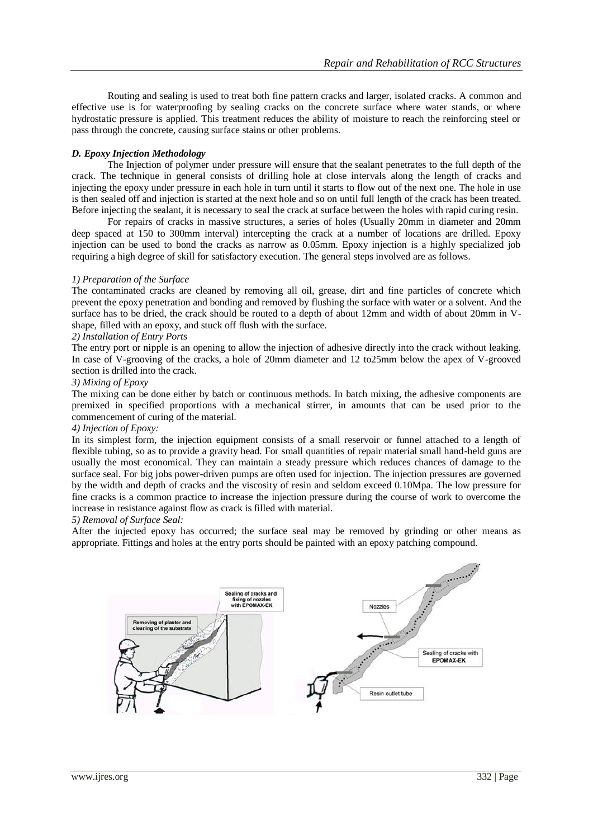Routing and sealing is used to treat both fine pattern cracks and larger, isolated cracks. A common and effective use is for waterproofing by sealing cracks on the concrete surface where water stands, or where hydrostatic pressure is applied. This treatment reduces the ability of moisture to reach the reinforcing steel or pass through the concrete, causing surface stains or other problems.

# *D. Epoxy Injection Methodology*

The Injection of polymer under pressure will ensure that the sealant penetrates to the full depth of the crack. The technique in general consists of drilling hole at close intervals along the length of cracks and injecting the epoxy under pressure in each hole in turn until it starts to flow out of the next one. The hole in use is then sealed off and injection is started at the next hole and so on until full length of the crack has been treated. Before injecting the sealant, it is necessary to seal the crack at surface between the holes with rapid curing resin.

For repairs of cracks in massive structures, a series of holes (Usually 20mm in diameter and 20mm deep spaced at 150 to 300mm interval) intercepting the crack at a number of locations are drilled. Epoxy injection can be used to bond the cracks as narrow as 0.05mm. Epoxy injection is a highly specialized job requiring a high degree of skill for satisfactory execution. The general steps involved are as follows.

#### *1) Preparation of the Surface*

The contaminated cracks are cleaned by removing all oil, grease, dirt and fine particles of concrete which prevent the epoxy penetration and bonding and removed by flushing the surface with water or a solvent. And the surface has to be dried, the crack should be routed to a depth of about 12mm and width of about 20mm in Vshape, filled with an epoxy, and stuck off flush with the surface.

#### *2) Installation of Entry Ports*

The entry port or nipple is an opening to allow the injection of adhesive directly into the crack without leaking. In case of V-grooving of the cracks, a hole of 20mm diameter and 12 to25mm below the apex of V-grooved section is drilled into the crack.

#### *3) Mixing of Epoxy*

The mixing can be done either by batch or continuous methods. In batch mixing, the adhesive components are premixed in specified proportions with a mechanical stirrer, in amounts that can be used prior to the commencement of curing of the material.

#### *4) Injection of Epoxy:*

In its simplest form, the injection equipment consists of a small reservoir or funnel attached to a length of flexible tubing, so as to provide a gravity head. For small quantities of repair material small hand-held guns are usually the most economical. They can maintain a steady pressure which reduces chances of damage to the surface seal. For big jobs power-driven pumps are often used for injection. The injection pressures are governed by the width and depth of cracks and the viscosity of resin and seldom exceed 0.10Mpa. The low pressure for fine cracks is a common practice to increase the injection pressure during the course of work to overcome the increase in resistance against flow as crack is filled with material.

#### *5) Removal of Surface Seal:*

After the injected epoxy has occurred; the surface seal may be removed by grinding or other means as appropriate. Fittings and holes at the entry ports should be painted with an epoxy patching compound.